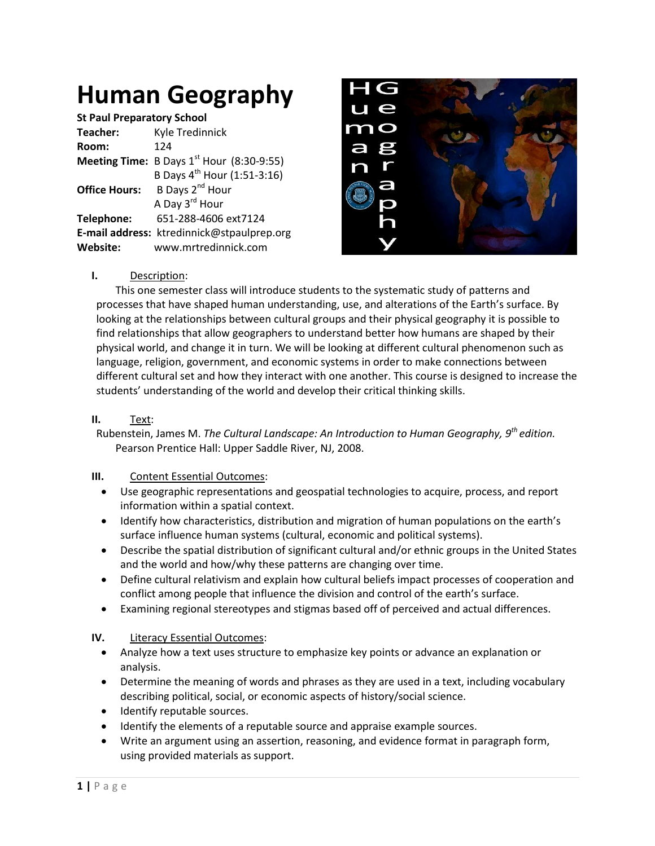# **Human Geography**

| <b>St Paul Preparatory School</b> |                                                    |  |  |  |  |
|-----------------------------------|----------------------------------------------------|--|--|--|--|
| Teacher:                          | Kyle Tredinnick                                    |  |  |  |  |
| Room:                             | 124                                                |  |  |  |  |
|                                   | <b>Meeting Time:</b> B Days $1st$ Hour (8:30-9:55) |  |  |  |  |
|                                   | B Days 4 <sup>th</sup> Hour (1:51-3:16)            |  |  |  |  |
| <b>Office Hours:</b>              | B Days 2 <sup>nd</sup> Hour                        |  |  |  |  |
|                                   | A Day 3 <sup>rd</sup> Hour                         |  |  |  |  |
| Telephone:                        | 651-288-4606 ext7124                               |  |  |  |  |
|                                   | E-mail address: ktredinnick@stpaulprep.org         |  |  |  |  |
| Website:                          | www.mrtredinnick.com                               |  |  |  |  |



## **I.** Description:

This one semester class will introduce students to the systematic study of patterns and processes that have shaped human understanding, use, and alterations of the Earth's surface. By looking at the relationships between cultural groups and their physical geography it is possible to find relationships that allow geographers to understand better how humans are shaped by their physical world, and change it in turn. We will be looking at different cultural phenomenon such as language, religion, government, and economic systems in order to make connections between different cultural set and how they interact with one another. This course is designed to increase the students' understanding of the world and develop their critical thinking skills.

#### **II.** Text:

Rubenstein, James M. *The Cultural Landscape: An Introduction to Human Geography, 9th edition.*  Pearson Prentice Hall: Upper Saddle River, NJ, 2008.

## **III.** Content Essential Outcomes:

- Use geographic representations and geospatial technologies to acquire, process, and report information within a spatial context.
- Identify how characteristics, distribution and migration of human populations on the earth's surface influence human systems (cultural, economic and political systems).
- Describe the spatial distribution of significant cultural and/or ethnic groups in the United States and the world and how/why these patterns are changing over time.
- Define cultural relativism and explain how cultural beliefs impact processes of cooperation and conflict among people that influence the division and control of the earth's surface.
- Examining regional stereotypes and stigmas based off of perceived and actual differences.

## **IV.** Literacy Essential Outcomes:

- Analyze how a text uses structure to emphasize key points or advance an explanation or analysis.
- Determine the meaning of words and phrases as they are used in a text, including vocabulary describing political, social, or economic aspects of history/social science.
- Identify reputable sources.
- Identify the elements of a reputable source and appraise example sources.
- Write an argument using an assertion, reasoning, and evidence format in paragraph form, using provided materials as support.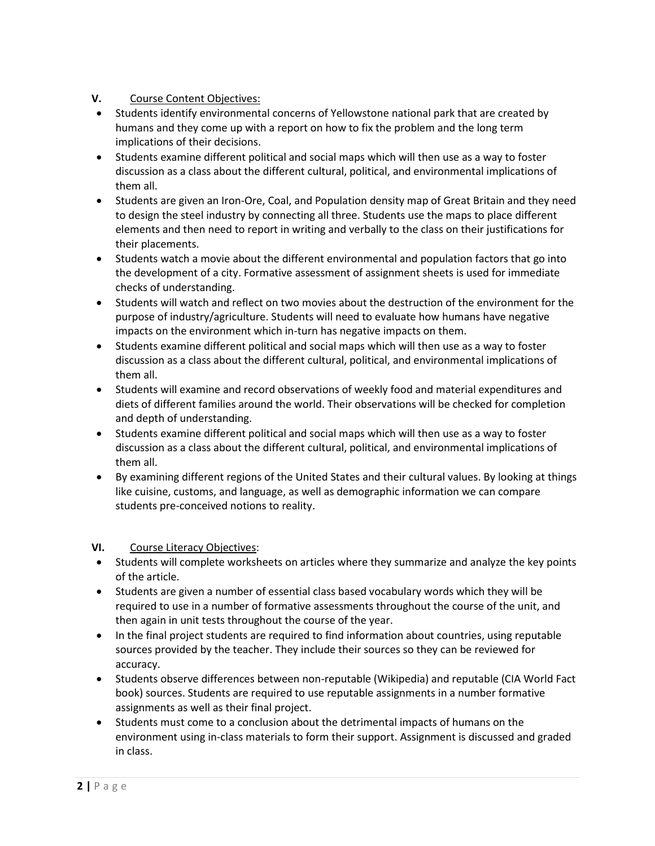## **V.** Course Content Objectives:

- Students identify environmental concerns of Yellowstone national park that are created by humans and they come up with a report on how to fix the problem and the long term implications of their decisions.
- Students examine different political and social maps which will then use as a way to foster discussion as a class about the different cultural, political, and environmental implications of them all.
- Students are given an Iron-Ore, Coal, and Population density map of Great Britain and they need to design the steel industry by connecting all three. Students use the maps to place different elements and then need to report in writing and verbally to the class on their justifications for their placements.
- Students watch a movie about the different environmental and population factors that go into the development of a city. Formative assessment of assignment sheets is used for immediate checks of understanding.
- Students will watch and reflect on two movies about the destruction of the environment for the purpose of industry/agriculture. Students will need to evaluate how humans have negative impacts on the environment which in-turn has negative impacts on them.
- Students examine different political and social maps which will then use as a way to foster discussion as a class about the different cultural, political, and environmental implications of them all.
- Students will examine and record observations of weekly food and material expenditures and diets of different families around the world. Their observations will be checked for completion and depth of understanding.
- Students examine different political and social maps which will then use as a way to foster discussion as a class about the different cultural, political, and environmental implications of them all.
- By examining different regions of the United States and their cultural values. By looking at things like cuisine, customs, and language, as well as demographic information we can compare students pre-conceived notions to reality.

## **VI.** Course Literacy Objectives:

- Students will complete worksheets on articles where they summarize and analyze the key points of the article.
- Students are given a number of essential class based vocabulary words which they will be required to use in a number of formative assessments throughout the course of the unit, and then again in unit tests throughout the course of the year.
- In the final project students are required to find information about countries, using reputable sources provided by the teacher. They include their sources so they can be reviewed for accuracy.
- Students observe differences between non-reputable (Wikipedia) and reputable (CIA World Fact book) sources. Students are required to use reputable assignments in a number formative assignments as well as their final project.
- Students must come to a conclusion about the detrimental impacts of humans on the environment using in-class materials to form their support. Assignment is discussed and graded in class.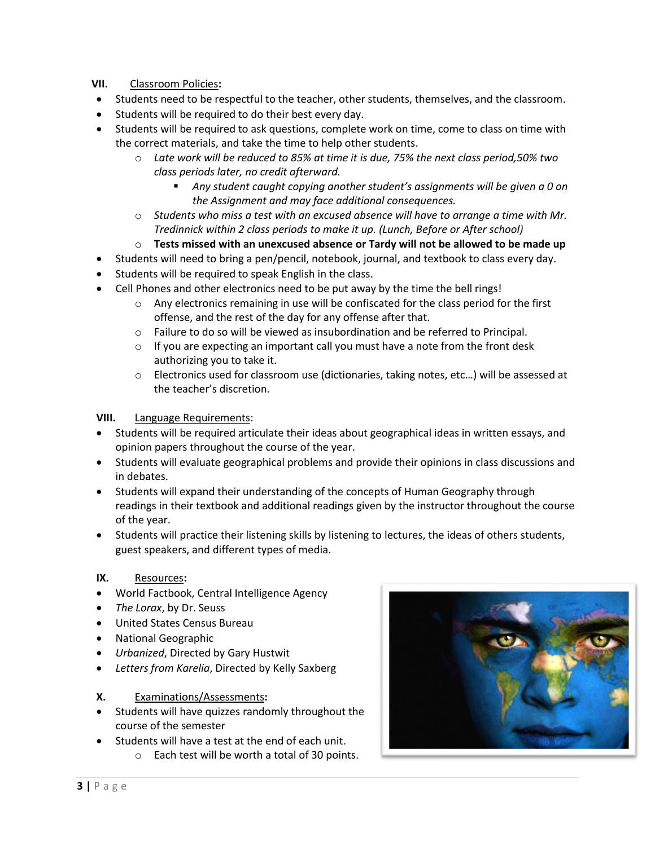## **VII.** Classroom Policies**:**

- Students need to be respectful to the teacher, other students, themselves, and the classroom.
- Students will be required to do their best every day.
- Students will be required to ask questions, complete work on time, come to class on time with the correct materials, and take the time to help other students.
	- o *Late work will be reduced to 85% at time it is due, 75% the next class period,50% two class periods later, no credit afterward.*
		- *Any student caught copying another student's assignments will be given a 0 on the Assignment and may face additional consequences.*
	- o *Students who miss a test with an excused absence will have to arrange a time with Mr. Tredinnick within 2 class periods to make it up. (Lunch, Before or After school)*
	- o **Tests missed with an unexcused absence or Tardy will not be allowed to be made up**
- Students will need to bring a pen/pencil, notebook, journal, and textbook to class every day.
- Students will be required to speak English in the class.
- Cell Phones and other electronics need to be put away by the time the bell rings!
	- $\circ$  Any electronics remaining in use will be confiscated for the class period for the first offense, and the rest of the day for any offense after that.
	- $\circ$  Failure to do so will be viewed as insubordination and be referred to Principal.
	- $\circ$  If you are expecting an important call you must have a note from the front desk authorizing you to take it.
	- o Electronics used for classroom use (dictionaries, taking notes, etc…) will be assessed at the teacher's discretion.

#### **VIII.** Language Requirements:

- Students will be required articulate their ideas about geographical ideas in written essays, and opinion papers throughout the course of the year.
- Students will evaluate geographical problems and provide their opinions in class discussions and in debates.
- Students will expand their understanding of the concepts of Human Geography through readings in their textbook and additional readings given by the instructor throughout the course of the year.
- Students will practice their listening skills by listening to lectures, the ideas of others students, guest speakers, and different types of media.

#### **IX.** Resources**:**

- World Factbook, Central Intelligence Agency
- *The Lorax*, by Dr. Seuss
- United States Census Bureau
- National Geographic
- *Urbanized*, Directed by Gary Hustwit
- *Letters from Karelia*, Directed by Kelly Saxberg

#### **X.** Examinations/Assessments**:**

- Students will have quizzes randomly throughout the course of the semester
- Students will have a test at the end of each unit.
	- o Each test will be worth a total of 30 points.

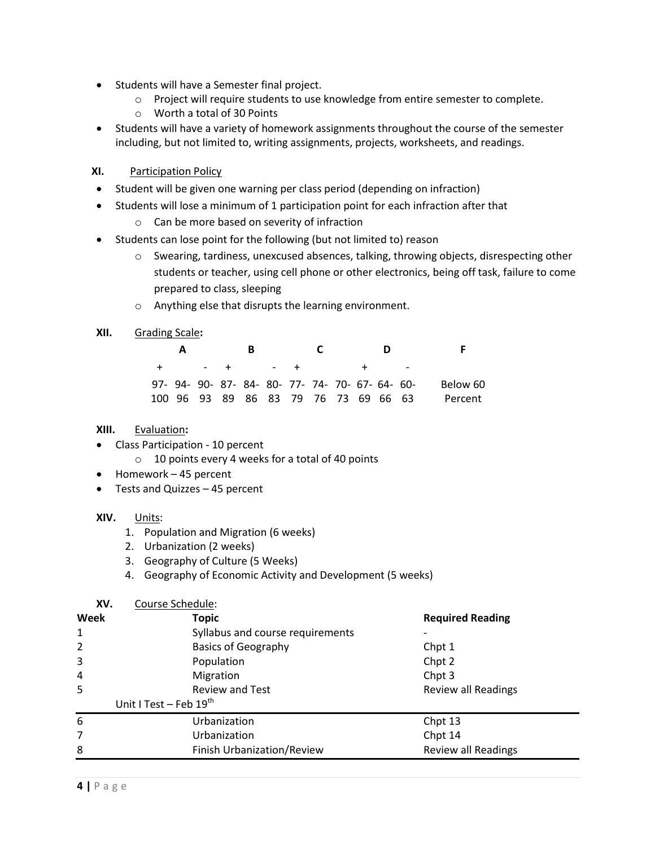- Students will have a Semester final project.
	- o Project will require students to use knowledge from entire semester to complete.
	- o Worth a total of 30 Points
- Students will have a variety of homework assignments throughout the course of the semester including, but not limited to, writing assignments, projects, worksheets, and readings.

#### **XI.** Participation Policy

- Student will be given one warning per class period (depending on infraction)
- Students will lose a minimum of 1 participation point for each infraction after that
	- o Can be more based on severity of infraction
- Students can lose point for the following (but not limited to) reason
	- o Swearing, tardiness, unexcused absences, talking, throwing objects, disrespecting other students or teacher, using cell phone or other electronics, being off task, failure to come prepared to class, sleeping
	- o Anything else that disrupts the learning environment.

#### **XII.** Grading Scale**:**

|  | $\mathbf{A}$ | -в |                                                 | C. |  |                                      | Е.       |
|--|--------------|----|-------------------------------------------------|----|--|--------------------------------------|----------|
|  |              |    | + - + - + + -                                   |    |  |                                      |          |
|  |              |    | 97- 94- 90- 87- 84- 80- 77- 74- 70- 67- 64- 60- |    |  |                                      | Below 60 |
|  |              |    |                                                 |    |  | 100 96 93 89 86 83 79 76 73 69 66 63 | Percent  |

#### **XIII.** Evaluation**:**

- Class Participation 10 percent
	- o 10 points every 4 weeks for a total of 40 points
- Homework 45 percent
- Tests and Quizzes 45 percent

#### **XIV.** Units:

- 1. Population and Migration (6 weeks)
- 2. Urbanization (2 weeks)
- 3. Geography of Culture (5 Weeks)
- 4. Geography of Economic Activity and Development (5 weeks)

# **XV.** Course Schedule: **Meek Required Reading Required Reading** 1 Syllabus and course requirements 2 Basics of Geography Chpt 1 **3 Population Chpt 2 Chpt 2** 4 Migration Chpt 3 5 Review and Test Review all Readings Unit I Test – Feb 19<sup>th</sup> 6 Urbanization Chpt 13 7 Urbanization Chpt 14 8 **8 Example 2** Finish Urbanization/Review **Review Review all Readings**